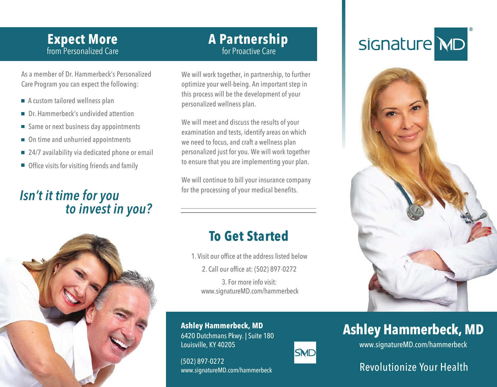#### from Personalized Care **Expect More**

for Proactive Care **A Partnership**

Care Program you can expect the following: As a member of Dr. Hammerbeck's Personalized

- $\blacksquare$  A custom tailored wellness plan
- Dr. Hammerbeck's undivided attention
- Same or next business day appointments
- On time and unhurried appointments
- 24/7 availability via dedicated phone or email
- Office visits for visiting friends and family

### Isn't it time for you to invest in you?

We will work together, in partnership, to further optimize your well-being. An important step in this process will be the development of your personalized wellness plan.

We will meet and discuss the results of your examination and tests, identify areas on which we need to focus, and craft a wellness plan personalized just for you. We will work together to ensure that you are implementing your plan.

We will continue to bill your insurance company for the processing of your medical benefits.

## **To Get Started**

2. Call our office at: (502) 897-0272 1. Visit our office at the address listed below

3. For more info visit: www.signatureMD.com/hammerbeck

**Ashley Hammerbeck, MD** 6420 Dutchmans Pkwy. | Suite 180 Louisville, KY 40205

(502) 897-0272 www.signatureMD.com/hammerbeck

## signature MD



## **Ashley Hammerbeck, MD**

www.signatureMD.com/hammerbeck

#### Revolutionize Your Health